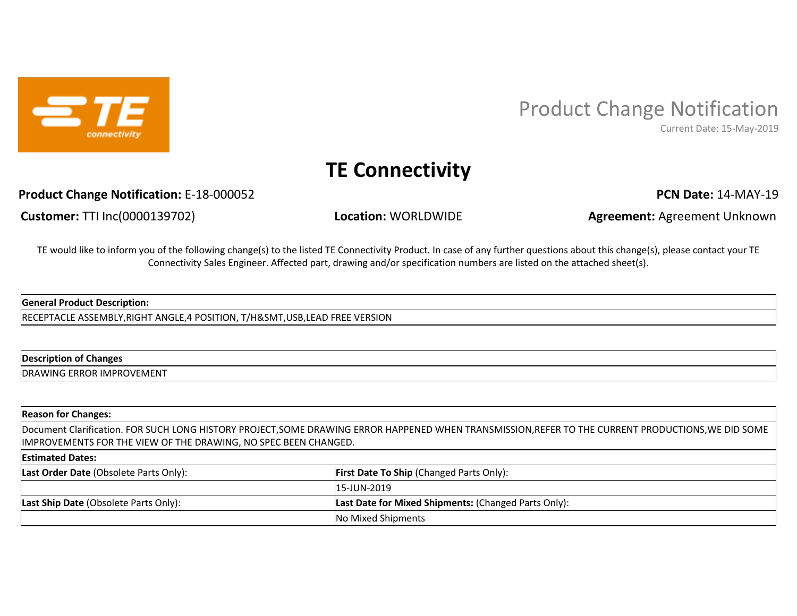

# Product Change Notification

Current Date: 15-May-2019

## **TE Connectivity**

### **Product Change Notification:** E-18-000052 **PCN Date: 14-MAY-19 PCN Date: 14-MAY-19**

**Customer:** TTI Inc(0000139702) **Location:** WORLDWIDE **Agreement:** Agreement Unknown

TE would like to inform you of the following change(s) to the listed TE Connectivity Product. In case of any further questions about this change(s), please contact your TE Connectivity Sales Engineer. Affected part, drawing and/or specification numbers are listed on the attached sheet(s).

#### **General Product Description:**

RECEPTACLE ASSEMBLY,RIGHT ANGLE,4 POSITION, T/H&SMT,USB,LEAD FREE VERSION

#### **Description of Changes**

DRAWING ERROR IMPROVEMENT

#### **Reason for Changes:**

Document Clarification. FOR SUCH LONG HISTORY PROJECT,SOME DRAWING ERROR HAPPENED WHEN TRANSMISSION,REFER TO THE CURRENT PRODUCTIONS,WE DID SOME IMPROVEMENTS FOR THE VIEW OF THE DRAWING, NO SPEC BEEN CHANGED.

#### **Estimated Dates:**

| Last Order Date (Obsolete Parts Only):       | <b>First Date To Ship (Changed Parts Only):</b>             |
|----------------------------------------------|-------------------------------------------------------------|
|                                              | 15-JUN-2019                                                 |
| <b>Last Ship Date (Obsolete Parts Only):</b> | <b>Last Date for Mixed Shipments: (Changed Parts Only):</b> |
|                                              | No Mixed Shipments                                          |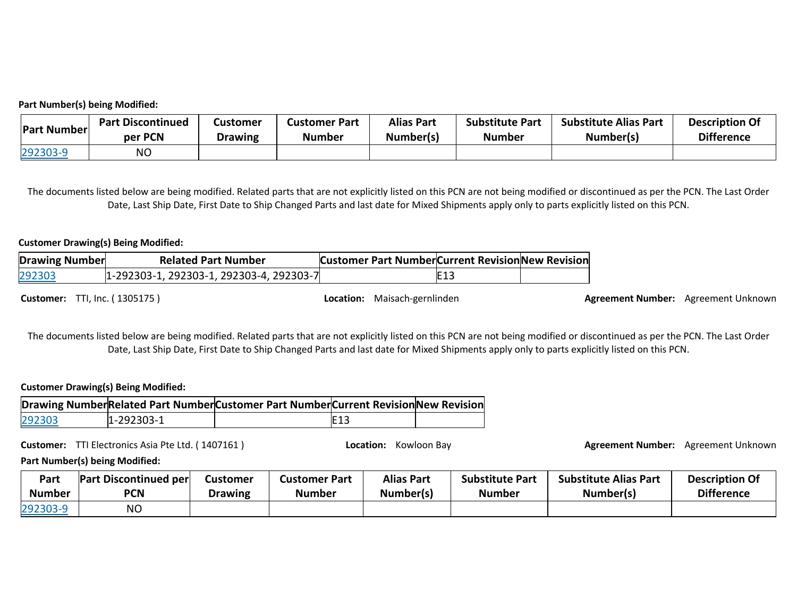#### **Part Number(s) being Modified:**

| <b>Part Number</b> | <b>Part Discontinued</b> | Customer       | <b>Customer Part</b> | <b>Alias Part</b> | <b>Substitute Part</b> | <b>Substitute Alias Part</b> | <b>Description Of</b> |
|--------------------|--------------------------|----------------|----------------------|-------------------|------------------------|------------------------------|-----------------------|
|                    | per PCN                  | <b>Drawing</b> | <b>Number</b>        | Number(s)         | <b>Number</b>          | Number(s)                    | <b>Difference</b>     |
| 292303-9           | ΝO                       |                |                      |                   |                        |                              |                       |

The documents listed below are being modified. Related parts that are not explicitly listed on this PCN are not being modified or discontinued as per the PCN. The Last Order Date, Last Ship Date, First Date to Ship Changed Parts and last date for Mixed Shipments apply only to parts explicitly listed on this PCN.

#### **Customer Drawing(s) Being Modified:**

| <b>Drawing Number</b> | <b>Related Part Number</b>               | <b>Customer Part Number Current Revision New Revision</b> |      |  |
|-----------------------|------------------------------------------|-----------------------------------------------------------|------|--|
| 292303                | 1-292303-1, 292303-1, 292303-4, 292303-7 |                                                           | IE13 |  |

**Customer:** TTI, Inc. ( 1305175 ) **Agreement Discussion:** *Location:* Maisach-gernlinden **Agreement Number:** Agreement Unknown

The documents listed below are being modified. Related parts that are not explicitly listed on this PCN are not being modified or discontinued as per the PCN. The Last Order Date, Last Ship Date, First Date to Ship Changed Parts and last date for Mixed Shipments apply only to parts explicitly listed on this PCN.

#### **Customer Drawing(s) Being Modified:**

|        |            | Drawing NumberRelated Part NumberCustomer Part NumberCurrent RevisionNew Revision |            |  |
|--------|------------|-----------------------------------------------------------------------------------|------------|--|
| 292303 | 1-292303-1 |                                                                                   | <b>E13</b> |  |

**Customer:** TTI Electronics Asia Pte Ltd. ( 1407161 ) **Location:** Kowloon Bay **Agreement Number:** Agreement Unknown

**Part Number(s) being Modified:** 

| Part          | <b>Part Discontinued per</b> | Customer       | Customer Part | <b>Alias Part</b> | <b>Substitute Part</b> | <b>Substitute Alias Part</b> | <b>Description Of</b> |
|---------------|------------------------------|----------------|---------------|-------------------|------------------------|------------------------------|-----------------------|
| <b>Number</b> | PCN                          | <b>Drawing</b> | <b>Number</b> | Number(s)         | Number                 | Number(s)                    | <b>Difference</b>     |
| 292303-9      | NΟ                           |                |               |                   |                        |                              |                       |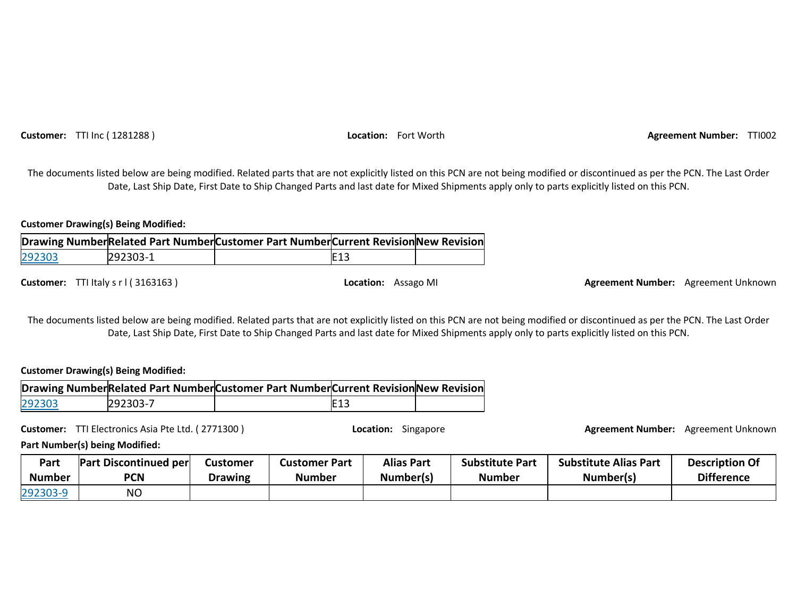**Customer:** TTI Inc ( 1281288 ) **Location:** Fort Worth **Agreement Number:** TTI002

The documents listed below are being modified. Related parts that are not explicitly listed on this PCN are not being modified or discontinued as per the PCN. The Last Order Date, Last Ship Date, First Date to Ship Changed Parts and last date for Mixed Shipments apply only to parts explicitly listed on this PCN.

**Customer Drawing(s) Being Modified:** 

|        |          | Drawing NumberRelated Part NumberCustomer Part NumberCurrent RevisionNew Revision |                 |  |
|--------|----------|-----------------------------------------------------------------------------------|-----------------|--|
| 292303 | 292303-1 |                                                                                   | E <sub>13</sub> |  |

**Customer:** TTI Italy s r l ( 3163163 ) **Location:** Assago MI **Agreement Number:** Agreement Unknown

The documents listed below are being modified. Related parts that are not explicitly listed on this PCN are not being modified or discontinued as per the PCN. The Last Order Date, Last Ship Date, First Date to Ship Changed Parts and last date for Mixed Shipments apply only to parts explicitly listed on this PCN.

#### **Customer Drawing(s) Being Modified:**

|        |          | Drawing NumberRelated Part NumberCustomer Part NumberCurrent Revision New Revision |             |  |
|--------|----------|------------------------------------------------------------------------------------|-------------|--|
| 292303 | 292303-7 |                                                                                    | <b>IE13</b> |  |

**Customer:** TTI Electronics Asia Pte Ltd. ( 2771300 ) **Location:** Singapore **Agreement Number:** Agreement Unknown

**Part Number(s) being Modified:** 

| Part          | <b>Part Discontinued per</b> | Customer | <b>Customer Part</b> | <b>Alias Part</b> | <b>Substitute Part</b> | <b>Substitute Alias Part</b> | <b>Description Of</b> |
|---------------|------------------------------|----------|----------------------|-------------------|------------------------|------------------------------|-----------------------|
| <b>Number</b> | <b>PCN</b>                   | Drawing  | <b>Number</b>        | Number(s)         | <b>Number</b>          | Number(s)                    | <b>Difference</b>     |
| 292303-9      | <b>NO</b>                    |          |                      |                   |                        |                              |                       |